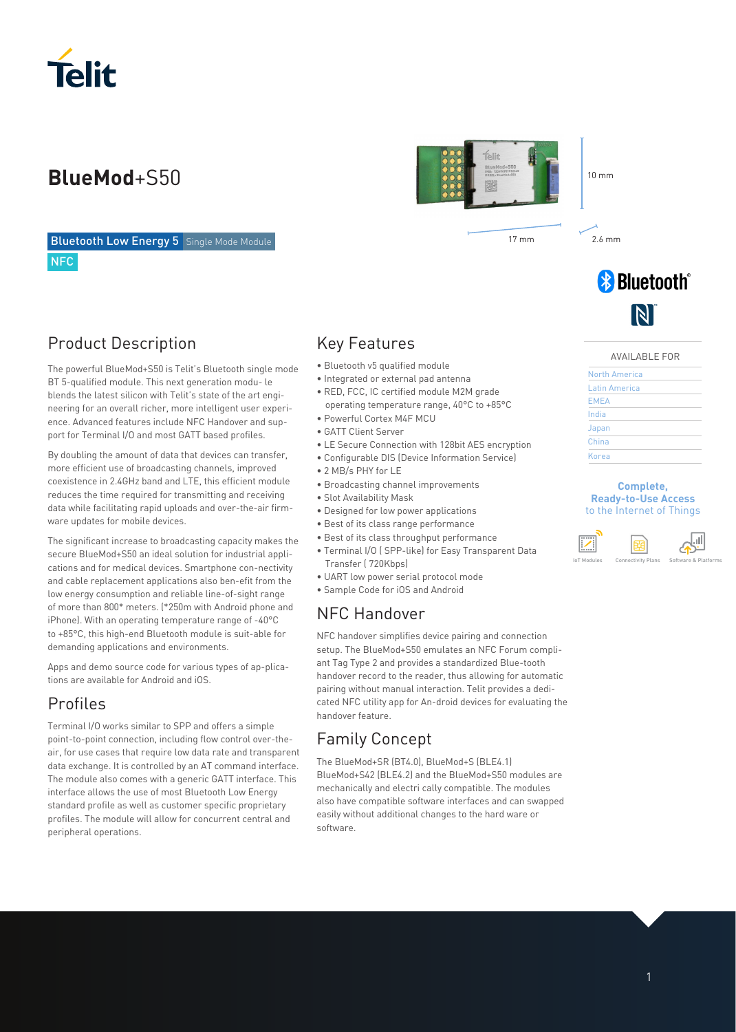

**Bluetooth Low Energy 5** Single Mode Module **NFC** 

### Product Description

The powerful BlueMod+S50 is Telit's Bluetooth single mode BT 5-qualified module. This next generation modu- le blends the latest silicon with Telit's state of the art engineering for an overall richer, more intelligent user experience. Advanced features include NFC Handover and support for Terminal I/O and most GATT based profiles.

By doubling the amount of data that devices can transfer, more efficient use of broadcasting channels, improved coexistence in 2.4GHz band and LTE, this efficient module reduces the time required for transmitting and receiving data while facilitating rapid uploads and over-the-air firmware updates for mobile devices.

The significant increase to broadcasting capacity makes the secure BlueMod+S50 an ideal solution for industrial applications and for medical devices. Smartphone con-nectivity and cable replacement applications also ben-efit from the low energy consumption and reliable line-of-sight range of more than 800\* meters. (\*250m with Android phone and iPhone). With an operating temperature range of -40°C to +85°C, this high-end Bluetooth module is suit-able for demanding applications and environments.

Apps and demo source code for various types of ap-plications are available for Android and iOS.

### Profiles

Terminal I/O works similar to SPP and offers a simple point-to-point connection, including flow control over-theair, for use cases that require low data rate and transparent data exchange. It is controlled by an AT command interface. The module also comes with a generic GATT interface. This interface allows the use of most Bluetooth Low Energy standard profile as well as customer specific proprietary profiles. The module will allow for concurrent central and peripheral operations.

### Key Features

- Bluetooth v5 qualified module
- Integrated or external pad antenna
- RED, FCC, IC certified module M2M grade operating temperature range, 40°C to +85°C
- Powerful Cortex M4F MCU
- GATT Client Server
- LE Secure Connection with 128bit AES encryption
- Configurable DIS (Device Information Service)
- 2 MB/s PHY for LE
- Broadcasting channel improvements
- Slot Availability Mask
- Designed for low power applications
- Best of its class range performance
- Best of its class throughput performance
- Terminal I/O ( SPP-like) for Easy Transparent Data Transfer ( 720Kbps)
- UART low power serial protocol mode
- Sample Code for iOS and Android

### NFC Handover

NFC handover simplifies device pairing and connection setup. The BlueMod+S50 emulates an NFC Forum compliant Tag Type 2 and provides a standardized Blue-tooth handover record to the reader, thus allowing for automatic pairing without manual interaction. Telit provides a dedicated NFC utility app for An-droid devices for evaluating the handover feature.

### Family Concept

The BlueMod+SR (BT4.0), BlueMod+S (BLE4.1) BlueMod+S42 (BLE4.2) and the BlueMod+S50 modules are mechanically and electri cally compatible. The modules also have compatible software interfaces and can swapped easily without additional changes to the hard ware or software.



17 mm 2.6 mm

**& Bluetooth**®

### AVAILABLE FOR

 $\blacksquare$ 

| North America |  |  |
|---------------|--|--|
| Latin America |  |  |
| <b>EMEA</b>   |  |  |
| India         |  |  |
| Japan         |  |  |
| China         |  |  |
| Korea         |  |  |

### **Complete, Ready-to-Use Access**  to the Internet of Things